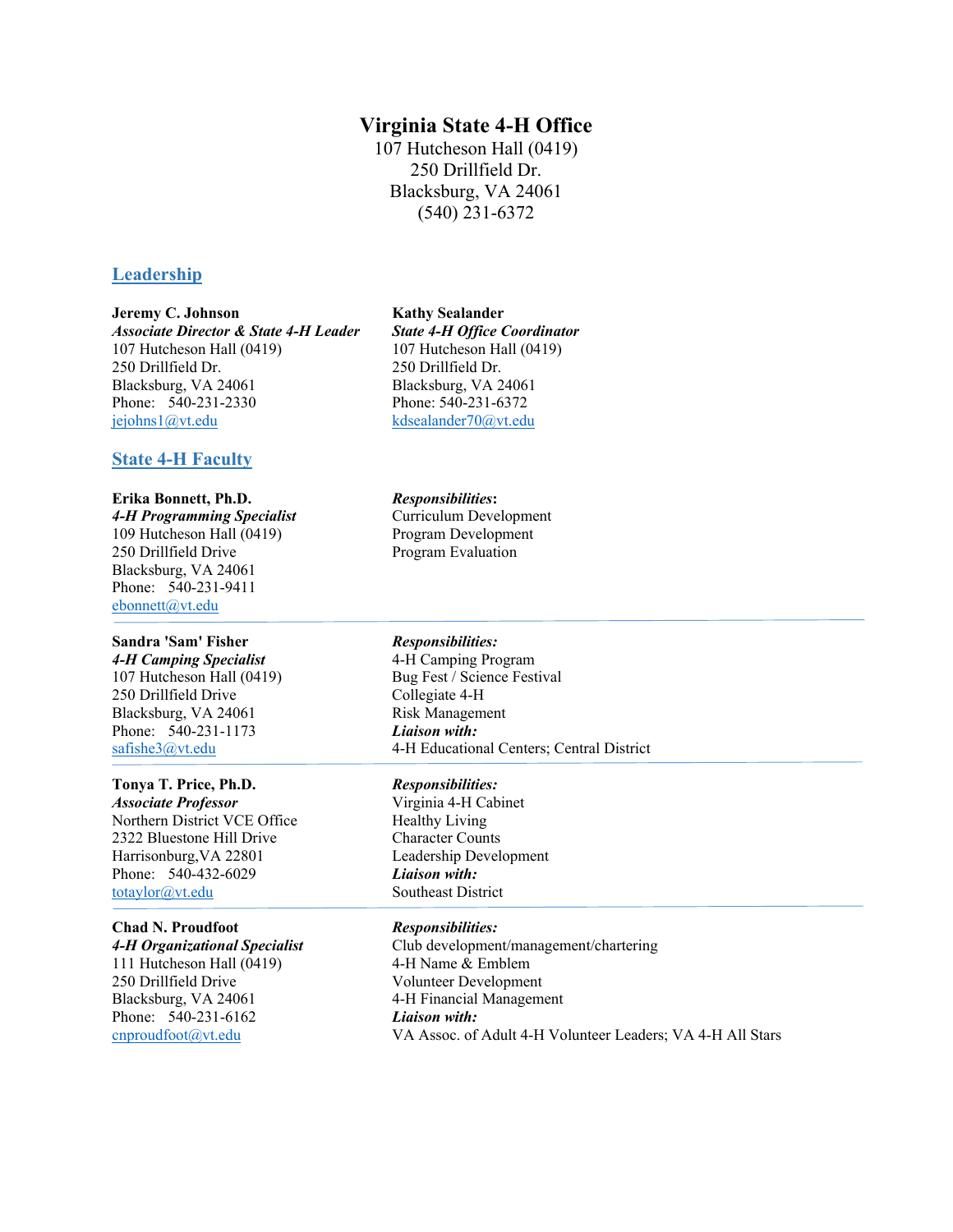# **Virginia State 4-H Office**

107 Hutcheson Hall (0419) 250 Drillfield Dr. Blacksburg, VA 24061 (540) 231-6372

# **Leadership**

# **Jeremy C. Johnson Kathy Sealander** *Associate Director & State 4-H Leader State 4-H Office Coordinator* 107 Hutcheson Hall (0419) 107 Hutcheson Hall (0419) 250 Drillfield Dr. 250 Drillfield Dr.<br>Blacksburg, VA 24061 Blacksburg, VA 2 Phone: 540-231-2330 Phone: 540-231-6372 [jejohns1@vt.edu](mailto:jejohns1@vt.edu) [kdsealander70@vt.edu](mailto:kdsealander70@vt.edu)

# **State 4-H Faculty**

# **Erika Bonnett, Ph.D.** *Responsibilities***:**

*4-H Programming Specialist* Curriculum Development 109 Hutcheson Hall (0419) Program Development 250 Drillfield Drive Program Evaluation Blacksburg, VA 24061 Phone: 540-231-9411 [ebonnett@vt.edu](mailto:ebonnett@vt.edu)

# **Sandra 'Sam' Fisher** *Responsibilities:* 4-H Camping Specialist **4-H Camping Program** 250 Drillfield Drive Blacksburg, VA 24061 Risk Management Phone: 540-231-1173 *Liaison with:*<br>safishe3@vt.edu 4-H Education

## **Tonya T. Price, Ph.D.** *Responsibilities:*

*Associate Professor* Virginia 4-H Cabinet Northern District VCE Office Healthy Living 2322 Bluestone Hill Drive Character Counts Harrisonburg,VA 22801 Leadership Development Phone: 540-432-6029 *Liaison with:* [totaylor@vt.edu](mailto:totaylor@vt.edu) Southeast District

## **Chad N. Proudfoot** *Responsibilities:*

111 Hutcheson Hall (0419) 4-H Name & Emblem 250 Drillfield Drive Volunteer Development Blacksburg, VA 24061 4-H Financial Management Phone: 540-231-6162 *Liaison with:*

# Blacksburg, VA 24061

107 Hutcheson Hall (0419) Bug Fest / Science Festival<br>250 Drillfield Drive Collegiate 4-H 4-H Educational Centers; Central District

*4-H Organizational Specialist* Club development/management/chartering [cnproudfoot@vt.edu](mailto:cnproudfoot@vt.edu) VA Assoc. of Adult 4-H Volunteer Leaders; VA 4-H All Stars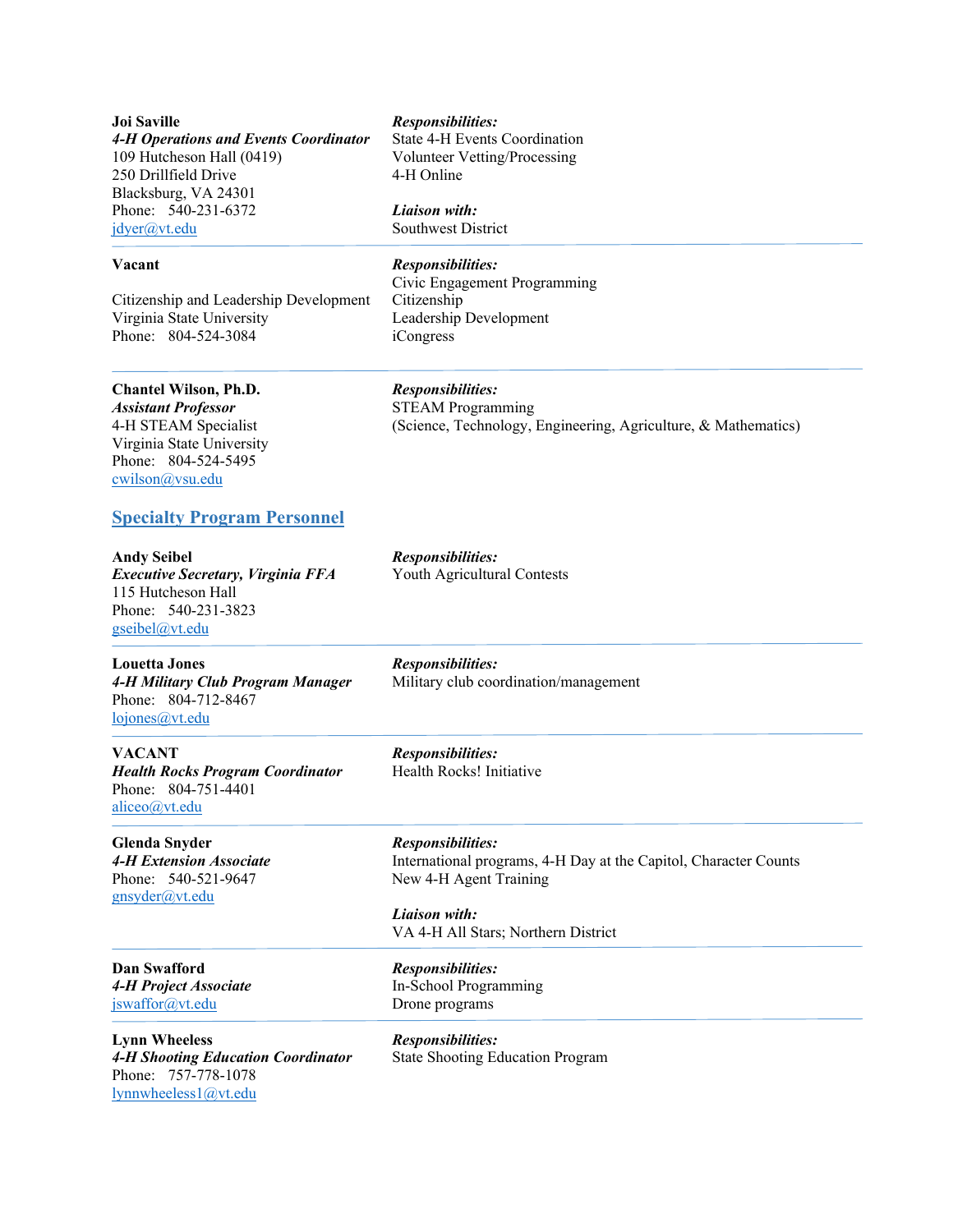**Joi Saville** *Responsibilities: 4-H Operations and Events Coordinator* State 4-H Events Coordination 109 Hutcheson Hall (0419) Volunteer Vetting/Processing<br>
250 Drillfield Drive 4-H Online 250 Drillfield Drive Blacksburg, VA 24301 Phone: 540-231-6372 *Liaison with:* [jdyer@vt.edu](mailto:jdyer@vt.edu) Southwest District

Citizenship and Leadership Development Citizenship Virginia State University Leadership Development Phone: 804-524-3084 iCongress

## **Chantel Wilson, Ph.D.** *Responsibilities:*

Virginia State University Phone: 804-524-5495 [cwilson@vsu.edu](mailto:cwilson@vsu.edu)

## **Specialty Program Personnel**

**Andy Seibel** *Responsibilities: Executive Secretary, Virginia FFA* Youth Agricultural Contests 115 Hutcheson Hall Phone: 540-231-3823 [gseibel@vt.edu](mailto:gseibel@vt.edu)

**Louetta Jones** *Responsibilities:* Phone: 804-712-8467 [lojones@vt.edu](mailto:lojones@vt.edu)

**VACANT** *Responsibilities: Health Rocks Program Coordinator* Health Rocks! Initiative Phone: 804-751-4401 [aliceo@vt.edu](mailto:aliceo@vt.edu)

**Glenda Snyder** *Responsibilities:* Phone: 540-521-9647 New 4-H Agent Training [gnsyder@vt.edu](mailto:gnsyder@vt.edu)

**Dan Swafford** *Responsibilities: 4-H Project Associate* In-School Programming [jswaffor@vt.edu](mailto:jswaffor@vt.edu) Drone programs

## **Vacant** *Responsibilities:*

Civic Engagement Programming

*Assistant Professor*<br>
4-H STEAM Specialist (Science, Technology, 1 (Science, Technology, Engineering, Agriculture, & Mathematics)

4-H Military Club Program Manager Military club coordination/management

*4-H Extension Associate* International programs, 4-H Day at the Capitol, Character Counts

*Liaison with:* VA 4-H All Stars; Northern District

**Lynn Wheeless** *Responsibilities: 4-H Shooting Education Coordinator* State Shooting Education Program Phone: 757-778-1078 [lynnwheeless1@vt.edu](mailto:lynnwheeless1@vt.edu)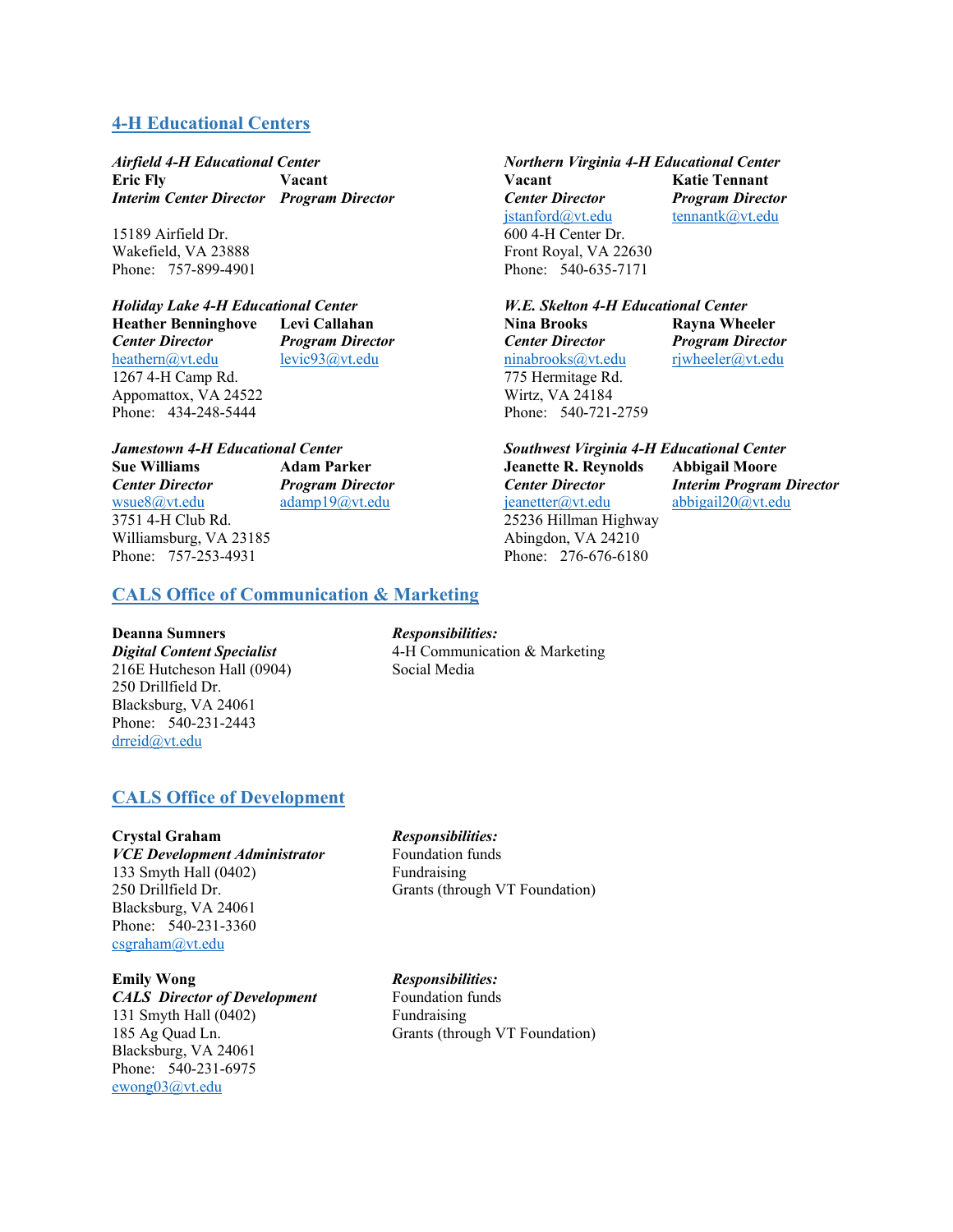# **4-H Educational Centers**

*Airfield 4-H Educational Center Northern Virginia 4-H Educational Center* **Eric Fly Vacant Vacant Katie Tennant** *Interim Center Director Program Director Center Director Program Director*

15189 Airfield Dr. 600 4-H Center Dr. Phone: 757-899-4901 Phone: 540-635-7171

Phone: 434-248-5444

Phone: 757-253-4931

*Holiday Lake 4-H Educational Center W.E. Skelton 4-H Educational Center* **Heather Benninghove Levi Callahan Nina Brooks Rayna Wheeler** *Center Director Program Director Center Director Program Director Program Director Program Director Program Director Program Director Program Director Program Director Program Direct* 1267 4-H Camp Rd. 2007 1267 4-H Camp Rd.

*Jamestown 4-H Educational Center Southwest Virginia 4-H Educational Center Center Director Program Director Center Director Interim Program Director* 3751 4-H Club Rd. 25236 Hillman Highway Williamsburg, VA 23185<br>
Phone: 757-253-4931<br>
Phone: 757-253-4931<br>
Phone: 276-676-6180

**CALS Office of Communication & Marketing**

## **Deanna Sumners** *Responsibilities:*

*Digital Content Specialist* 4-H Communication & Marketing 216E Hutcheson Hall (0904) Social Media 250 Drillfield Dr. Blacksburg, VA 24061 Phone: 540-231-2443 [drreid@vt.edu](mailto:drreid@vt.edu)

# **CALS Office of Development**

*VCE Development Administrator* Foundation funds 133 Smyth Hall (0402) Fundraising<br>250 Drillfield Dr. Grants (throu Blacksburg, VA 24061 Phone: 540-231-3360 [csgraham@vt.edu](mailto:csgraham@vt.edu)

**Emily Wong** *Responsibilities: CALS Director of Development* Foundation funds 131 Smyth Hall (0402) Fundraising 185 Ag Quad Ln. Grants (through VT Foundation) Blacksburg, VA 24061 Phone: 540-231-6975 [ewong03@vt.edu](mailto:ewong03@vt.edu)

## **Crystal Graham** *Responsibilities:*

Grants (through VT Foundation)

[jstanford@vt.edu](mailto:jstanford@vt.edu) [tennantk@vt.edu](mailto:tennantk@vt.edu) Wakefield, VA 23888 Front Royal, VA 22630

[ninabrooks@vt.edu](mailto:ninabrooks@vt.edu) Appomattox, VA 24522 Wirtz, VA 24184<br>
Phone: 434-248-5444 Phone: 540-721-2759

> **Sue Williams Adam Parker Jeanette R. Reynolds Abbigail Moore** [adamp19@vt.edu](mailto:adamp19@vt.edu) [jeanetter@vt.edu](mailto:jeanetter@vt.edu) [abbigail20@vt.edu](mailto:abbigail20@vt.edu)